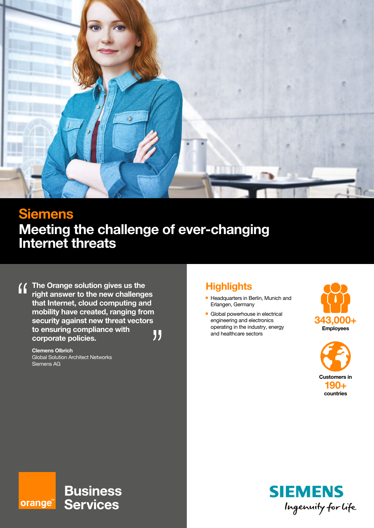

# **Siemens Meeting the challenge of ever-changing Internet threats**

**The Orange solution gives us the**   $\overline{\mathbf{f}}$ **right answer to the new challenges that Internet, cloud computing and mobility have created, ranging from security against new threat vectors to ensuring compliance with**  99 **corporate policies.**

**Clemens Olbrich** Global Solution Architect Networks Siemens AG

orange<sup>\*\*</sup>

## **Highlights**

- **Headquarters in Berlin, Munich and** Erlangen, Germany
- **n** Global powerhouse in electrical engineering and electronics operating in the industry, energy and healthcare sectors